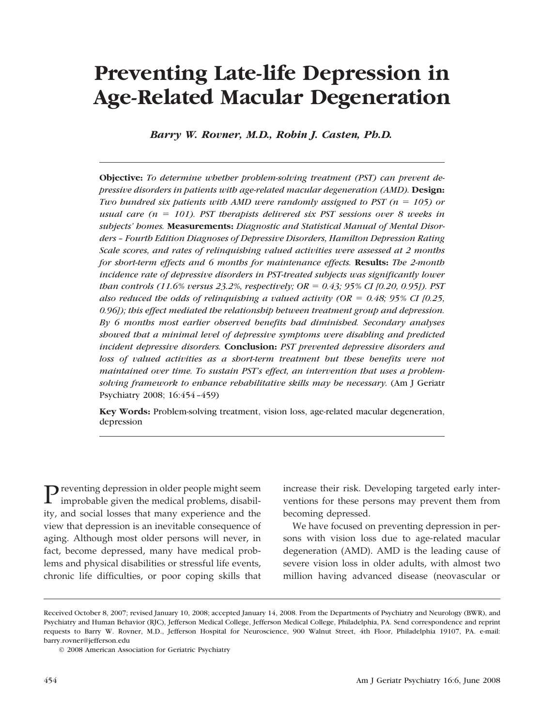# **Preventing Late-life Depression in Age-Related Macular Degeneration**

*Barry W. Rovner, M.D., Robin J. Casten, Ph.D.*

**Objective:** *To determine whether problem-solving treatment (PST) can prevent depressive disorders in patients with age-related macular degeneration (AMD).* **Design:** *Two hundred six patients with AMD were randomly assigned to PST (n 105) or usual care (n 101). PST therapists delivered six PST sessions over 8 weeks in subjects' homes.* **Measurements:** *Diagnostic and Statistical Manual of Mental Disorders – Fourth Edition Diagnoses of Depressive Disorders, Hamilton Depression Rating Scale scores, and rates of relinquishing valued activities were assessed at 2 months for short-term effects and 6 months for maintenance effects.* **Results:** *The 2-month incidence rate of depressive disorders in PST-treated subjects was significantly lower than controls (11.6% versus 23.2%, respectively; OR 0.43; 95% CI [0.20, 0.95]). PST also reduced the odds of relinquishing a valued activity (OR 0.48; 95% CI [0.25, 0.96]); this effect mediated the relationship between treatment group and depression. By 6 months most earlier observed benefits had diminished. Secondary analyses showed that a minimal level of depressive symptoms were disabling and predicted incident depressive disorders.* **Conclusion:** *PST prevented depressive disorders and loss of valued activities as a short-term treatment but these benefits were not maintained over time. To sustain PST's effect, an intervention that uses a problemsolving framework to enhance rehabilitative skills may be necessary.* (Am J Geriatr Psychiatry 2008; 16:454 –459)

**Key Words:** Problem-solving treatment, vision loss, age-related macular degeneration, depression

 $\mathbf{P}$  reventing depression in older people might seem improbable given the medical problems, disability, and social losses that many experience and the view that depression is an inevitable consequence of aging. Although most older persons will never, in fact, become depressed, many have medical problems and physical disabilities or stressful life events, chronic life difficulties, or poor coping skills that

increase their risk. Developing targeted early interventions for these persons may prevent them from becoming depressed.

We have focused on preventing depression in persons with vision loss due to age-related macular degeneration (AMD). AMD is the leading cause of severe vision loss in older adults, with almost two million having advanced disease (neovascular or

Received October 8, 2007; revised January 10, 2008; accepted January 14, 2008. From the Departments of Psychiatry and Neurology (BWR), and Psychiatry and Human Behavior (RJC), Jefferson Medical College, Jefferson Medical College, Philadelphia, PA. Send correspondence and reprint requests to Barry W. Rovner, M.D., Jefferson Hospital for Neuroscience, 900 Walnut Street, 4th Floor, Philadelphia 19107, PA. e-mail: barry.rovner@jefferson.edu

<sup>© 2008</sup> American Association for Geriatric Psychiatry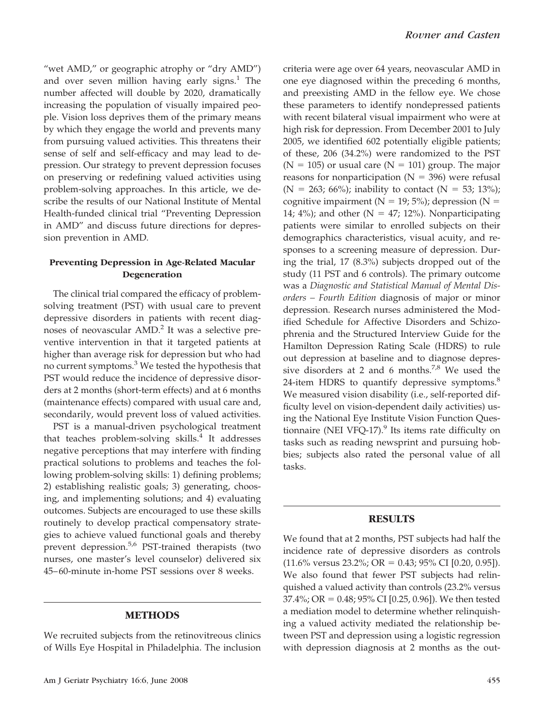"wet AMD," or geographic atrophy or "dry AMD") and over seven million having early signs. $<sup>1</sup>$  The</sup> number affected will double by 2020, dramatically increasing the population of visually impaired people. Vision loss deprives them of the primary means by which they engage the world and prevents many from pursuing valued activities. This threatens their sense of self and self-efficacy and may lead to depression. Our strategy to prevent depression focuses on preserving or redefining valued activities using problem-solving approaches. In this article, we describe the results of our National Institute of Mental Health-funded clinical trial "Preventing Depression in AMD" and discuss future directions for depression prevention in AMD.

#### **Preventing Depression in Age-Related Macular Degeneration**

The clinical trial compared the efficacy of problemsolving treatment (PST) with usual care to prevent depressive disorders in patients with recent diagnoses of neovascular AMD.<sup>2</sup> It was a selective preventive intervention in that it targeted patients at higher than average risk for depression but who had no current symptoms.<sup>3</sup> We tested the hypothesis that PST would reduce the incidence of depressive disorders at 2 months (short-term effects) and at 6 months (maintenance effects) compared with usual care and, secondarily, would prevent loss of valued activities.

PST is a manual-driven psychological treatment that teaches problem-solving skills. $4$  It addresses negative perceptions that may interfere with finding practical solutions to problems and teaches the following problem-solving skills: 1) defining problems; 2) establishing realistic goals; 3) generating, choosing, and implementing solutions; and 4) evaluating outcomes. Subjects are encouraged to use these skills routinely to develop practical compensatory strategies to achieve valued functional goals and thereby prevent depression.5,6 PST-trained therapists (two nurses, one master's level counselor) delivered six 45– 60-minute in-home PST sessions over 8 weeks.

#### **METHODS**

We recruited subjects from the retinovitreous clinics of Wills Eye Hospital in Philadelphia. The inclusion criteria were age over 64 years, neovascular AMD in one eye diagnosed within the preceding 6 months, and preexisting AMD in the fellow eye. We chose these parameters to identify nondepressed patients with recent bilateral visual impairment who were at high risk for depression. From December 2001 to July 2005, we identified 602 potentially eligible patients; of these, 206 (34.2%) were randomized to the PST  $(N = 105)$  or usual care  $(N = 101)$  group. The major reasons for nonparticipation  $(N = 396)$  were refusal (N = 263; 66%); inability to contact (N = 53; 13%); cognitive impairment ( $N = 19$ ; 5%); depression ( $N =$ 14; 4%); and other ( $N = 47$ ; 12%). Nonparticipating patients were similar to enrolled subjects on their demographics characteristics, visual acuity, and responses to a screening measure of depression. During the trial, 17 (8.3%) subjects dropped out of the study (11 PST and 6 controls). The primary outcome was a *Diagnostic and Statistical Manual of Mental Disorders – Fourth Edition* diagnosis of major or minor depression. Research nurses administered the Modified Schedule for Affective Disorders and Schizophrenia and the Structured Interview Guide for the Hamilton Depression Rating Scale (HDRS) to rule out depression at baseline and to diagnose depressive disorders at 2 and 6 months.<sup>7,8</sup> We used the 24-item HDRS to quantify depressive symptoms.<sup>8</sup> We measured vision disability (i.e., self-reported difficulty level on vision-dependent daily activities) using the National Eye Institute Vision Function Questionnaire (NEI VFQ-17). $9$  Its items rate difficulty on tasks such as reading newsprint and pursuing hobbies; subjects also rated the personal value of all tasks.

#### **RESULTS**

We found that at 2 months, PST subjects had half the incidence rate of depressive disorders as controls  $(11.6\% \text{ versus } 23.2\%; \text{ OR } = 0.43; 95\% \text{ CI } [0.20, 0.95]).$ We also found that fewer PST subjects had relinquished a valued activity than controls (23.2% versus  $37.4\%$ ; OR = 0.48; 95% CI [0.25, 0.96]). We then tested a mediation model to determine whether relinquishing a valued activity mediated the relationship between PST and depression using a logistic regression with depression diagnosis at 2 months as the out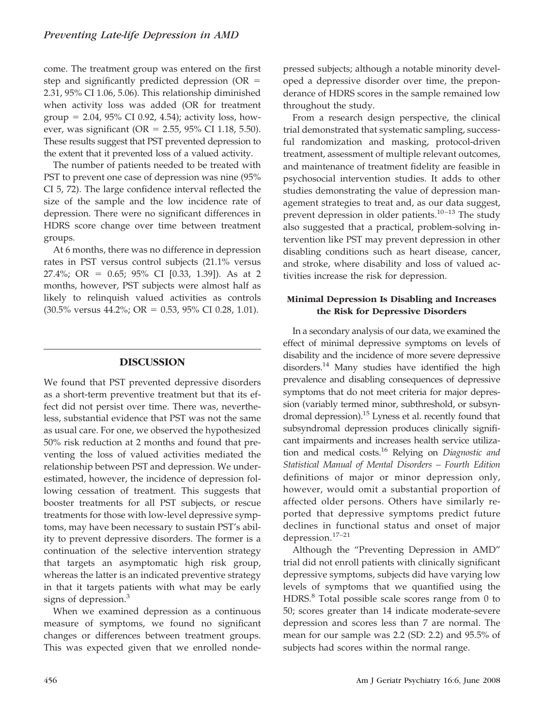come. The treatment group was entered on the first step and significantly predicted depression (OR 2.31, 95% CI 1.06, 5.06). This relationship diminished when activity loss was added (OR for treatment group = 2.04, 95% CI 0.92, 4.54); activity loss, however, was significant (OR = 2.55, 95% CI 1.18, 5.50). These results suggest that PST prevented depression to the extent that it prevented loss of a valued activity.

The number of patients needed to be treated with PST to prevent one case of depression was nine (95% CI 5, 72). The large confidence interval reflected the size of the sample and the low incidence rate of depression. There were no significant differences in HDRS score change over time between treatment groups.

At 6 months, there was no difference in depression rates in PST versus control subjects (21.1% versus 27.4%; OR =  $0.65$ ; 95% CI [0.33, 1.39]). As at 2 months, however, PST subjects were almost half as likely to relinquish valued activities as controls  $(30.5\% \text{ versus } 44.2\%; \text{ OR } = 0.53, 95\% \text{ CI } 0.28, 1.01).$ 

#### **DISCUSSION**

We found that PST prevented depressive disorders as a short-term preventive treatment but that its effect did not persist over time. There was, nevertheless, substantial evidence that PST was not the same as usual care. For one, we observed the hypothesized 50% risk reduction at 2 months and found that preventing the loss of valued activities mediated the relationship between PST and depression. We underestimated, however, the incidence of depression following cessation of treatment. This suggests that booster treatments for all PST subjects, or rescue treatments for those with low-level depressive symptoms, may have been necessary to sustain PST's ability to prevent depressive disorders. The former is a continuation of the selective intervention strategy that targets an asymptomatic high risk group, whereas the latter is an indicated preventive strategy in that it targets patients with what may be early signs of depression.<sup>3</sup>

When we examined depression as a continuous measure of symptoms, we found no significant changes or differences between treatment groups. This was expected given that we enrolled nonde-

pressed subjects; although a notable minority developed a depressive disorder over time, the preponderance of HDRS scores in the sample remained low throughout the study.

From a research design perspective, the clinical trial demonstrated that systematic sampling, successful randomization and masking, protocol-driven treatment, assessment of multiple relevant outcomes, and maintenance of treatment fidelity are feasible in psychosocial intervention studies. It adds to other studies demonstrating the value of depression management strategies to treat and, as our data suggest, prevent depression in older patients. $10-13$  The study also suggested that a practical, problem-solving intervention like PST may prevent depression in other disabling conditions such as heart disease, cancer, and stroke, where disability and loss of valued activities increase the risk for depression.

#### **Minimal Depression Is Disabling and Increases the Risk for Depressive Disorders**

In a secondary analysis of our data, we examined the effect of minimal depressive symptoms on levels of disability and the incidence of more severe depressive disorders.<sup>14</sup> Many studies have identified the high prevalence and disabling consequences of depressive symptoms that do not meet criteria for major depression (variably termed minor, subthreshold, or subsyndromal depression).15 Lyness et al. recently found that subsyndromal depression produces clinically significant impairments and increases health service utilization and medical costs.16 Relying on *Diagnostic and Statistical Manual of Mental Disorders – Fourth Edition* definitions of major or minor depression only, however, would omit a substantial proportion of affected older persons. Others have similarly reported that depressive symptoms predict future declines in functional status and onset of major depression.17–21

Although the "Preventing Depression in AMD" trial did not enroll patients with clinically significant depressive symptoms, subjects did have varying low levels of symptoms that we quantified using the HDRS.8 Total possible scale scores range from 0 to 50; scores greater than 14 indicate moderate-severe depression and scores less than 7 are normal. The mean for our sample was 2.2 (SD: 2.2) and 95.5% of subjects had scores within the normal range.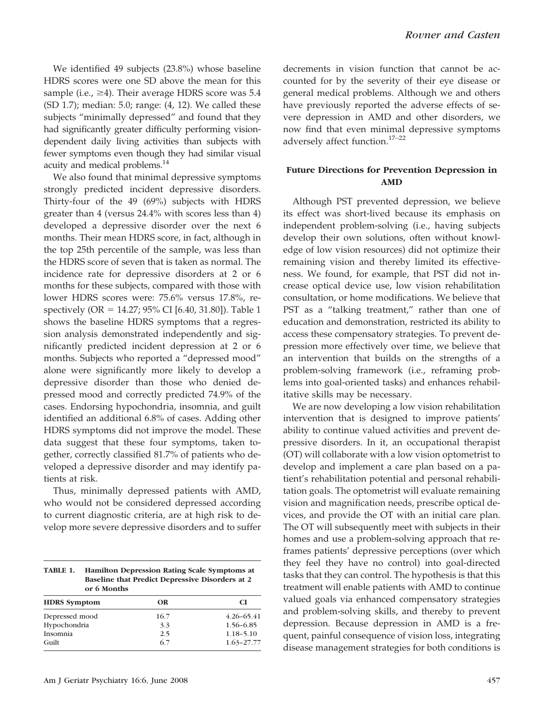We identified 49 subjects (23.8%) whose baseline HDRS scores were one SD above the mean for this sample (i.e.,  $\geq$ 4). Their average HDRS score was 5.4 (SD 1.7); median: 5.0; range: (4, 12). We called these subjects "minimally depressed" and found that they had significantly greater difficulty performing visiondependent daily living activities than subjects with fewer symptoms even though they had similar visual acuity and medical problems.<sup>14</sup>

We also found that minimal depressive symptoms strongly predicted incident depressive disorders. Thirty-four of the 49 (69%) subjects with HDRS greater than 4 (versus 24.4% with scores less than 4) developed a depressive disorder over the next 6 months. Their mean HDRS score, in fact, although in the top 25th percentile of the sample, was less than the HDRS score of seven that is taken as normal. The incidence rate for depressive disorders at 2 or 6 months for these subjects, compared with those with lower HDRS scores were: 75.6% versus 17.8%, respectively (OR = 14.27; 95% CI [6.40, 31.80]). Table 1 shows the baseline HDRS symptoms that a regression analysis demonstrated independently and significantly predicted incident depression at 2 or 6 months. Subjects who reported a "depressed mood" alone were significantly more likely to develop a depressive disorder than those who denied depressed mood and correctly predicted 74.9% of the cases. Endorsing hypochondria, insomnia, and guilt identified an additional 6.8% of cases. Adding other HDRS symptoms did not improve the model. These data suggest that these four symptoms, taken together, correctly classified 81.7% of patients who developed a depressive disorder and may identify patients at risk.

Thus, minimally depressed patients with AMD, who would not be considered depressed according to current diagnostic criteria, are at high risk to develop more severe depressive disorders and to suffer

| TABLE 1.            | <b>Hamilton Depression Rating Scale Symptoms at</b><br>Baseline that Predict Depressive Disorders at 2<br>or 6 Months |           |                |
|---------------------|-----------------------------------------------------------------------------------------------------------------------|-----------|----------------|
| <b>HDRS</b> Symptom |                                                                                                                       | <b>OR</b> | CІ             |
| Depressed mood      |                                                                                                                       | 16.7      | $4.26 - 65.41$ |
| Hypochondria        |                                                                                                                       | 3.3       | 1.56-6.85      |
| Insomnia            |                                                                                                                       | 2.5       | $1.18 - 5.10$  |
| <b>Guilt</b>        |                                                                                                                       | 67        | $1.63 - 27.77$ |

decrements in vision function that cannot be accounted for by the severity of their eye disease or general medical problems. Although we and others have previously reported the adverse effects of severe depression in AMD and other disorders, we now find that even minimal depressive symptoms adversely affect function.17–22

## **Future Directions for Prevention Depression in AMD**

Although PST prevented depression, we believe its effect was short-lived because its emphasis on independent problem-solving (i.e., having subjects develop their own solutions, often without knowledge of low vision resources) did not optimize their remaining vision and thereby limited its effectiveness. We found, for example, that PST did not increase optical device use, low vision rehabilitation consultation, or home modifications. We believe that PST as a "talking treatment," rather than one of education and demonstration, restricted its ability to access these compensatory strategies. To prevent depression more effectively over time, we believe that an intervention that builds on the strengths of a problem-solving framework (i.e., reframing problems into goal-oriented tasks) and enhances rehabilitative skills may be necessary.

We are now developing a low vision rehabilitation intervention that is designed to improve patients' ability to continue valued activities and prevent depressive disorders. In it, an occupational therapist (OT) will collaborate with a low vision optometrist to develop and implement a care plan based on a patient's rehabilitation potential and personal rehabilitation goals. The optometrist will evaluate remaining vision and magnification needs, prescribe optical devices, and provide the OT with an initial care plan. The OT will subsequently meet with subjects in their homes and use a problem-solving approach that reframes patients' depressive perceptions (over which they feel they have no control) into goal-directed tasks that they can control. The hypothesis is that this treatment will enable patients with AMD to continue valued goals via enhanced compensatory strategies and problem-solving skills, and thereby to prevent depression. Because depression in AMD is a frequent, painful consequence of vision loss, integrating disease management strategies for both conditions is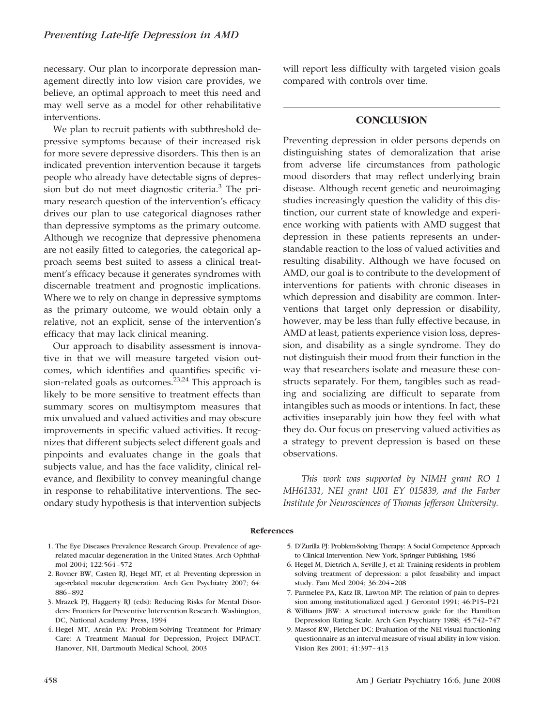necessary. Our plan to incorporate depression management directly into low vision care provides, we believe, an optimal approach to meet this need and may well serve as a model for other rehabilitative interventions.

We plan to recruit patients with subthreshold depressive symptoms because of their increased risk for more severe depressive disorders. This then is an indicated prevention intervention because it targets people who already have detectable signs of depression but do not meet diagnostic criteria. $3$  The primary research question of the intervention's efficacy drives our plan to use categorical diagnoses rather than depressive symptoms as the primary outcome. Although we recognize that depressive phenomena are not easily fitted to categories, the categorical approach seems best suited to assess a clinical treatment's efficacy because it generates syndromes with discernable treatment and prognostic implications. Where we to rely on change in depressive symptoms as the primary outcome, we would obtain only a relative, not an explicit, sense of the intervention's efficacy that may lack clinical meaning.

Our approach to disability assessment is innovative in that we will measure targeted vision outcomes, which identifies and quantifies specific vision-related goals as outcomes.<sup>23,24</sup> This approach is likely to be more sensitive to treatment effects than summary scores on multisymptom measures that mix unvalued and valued activities and may obscure improvements in specific valued activities. It recognizes that different subjects select different goals and pinpoints and evaluates change in the goals that subjects value, and has the face validity, clinical relevance, and flexibility to convey meaningful change in response to rehabilitative interventions. The secondary study hypothesis is that intervention subjects will report less difficulty with targeted vision goals compared with controls over time.

### **CONCLUSION**

Preventing depression in older persons depends on distinguishing states of demoralization that arise from adverse life circumstances from pathologic mood disorders that may reflect underlying brain disease. Although recent genetic and neuroimaging studies increasingly question the validity of this distinction, our current state of knowledge and experience working with patients with AMD suggest that depression in these patients represents an understandable reaction to the loss of valued activities and resulting disability. Although we have focused on AMD, our goal is to contribute to the development of interventions for patients with chronic diseases in which depression and disability are common. Interventions that target only depression or disability, however, may be less than fully effective because, in AMD at least, patients experience vision loss, depression, and disability as a single syndrome. They do not distinguish their mood from their function in the way that researchers isolate and measure these constructs separately. For them, tangibles such as reading and socializing are difficult to separate from intangibles such as moods or intentions. In fact, these activities inseparably join how they feel with what they do. Our focus on preserving valued activities as a strategy to prevent depression is based on these observations.

*This work was supported by NIMH grant RO 1 MH61331, NEI grant U01 EY 015839, and the Farber Institute for Neurosciences of Thomas Jefferson University.*

#### **References**

- 1. The Eye Diseases Prevalence Research Group. Prevalence of agerelated macular degeneration in the United States. Arch Ophthalmol 2004; 122:564 –572
- 2. Rovner BW, Casten RJ, Hegel MT, et al: Preventing depression in age-related macular degeneration. Arch Gen Psychiatry 2007; 64: 886 –892
- 3. Mrazek PJ, Haggerty RJ (eds): Reducing Risks for Mental Disorders: Frontiers for Preventive Intervention Research. Washington, DC, National Academy Press, 1994
- 4. Hegel MT, Areán PA: Problem-Solving Treatment for Primary Care: A Treatment Manual for Depression, Project IMPACT. Hanover, NH, Dartmouth Medical School, 2003
- 5. D'Zurilla PJ: Problem-Solving Therapy: A Social Competence Approach to Clinical Intervention. New York, Springer Publishing, 1986
- 6. Hegel M, Dietrich A, Seville J, et al: Training residents in problem solving treatment of depression: a pilot feasibility and impact study. Fam Med 2004; 36:204 –208
- 7. Parmelee PA, Katz IR, Lawton MP: The relation of pain to depression among institutionalized aged. J Gerontol 1991; 46:P15–P21
- 8. Williams JBW: A structured interview guide for the Hamilton Depression Rating Scale. Arch Gen Psychiatry 1988; 45:742–747
- 9. Massof RW, Fletcher DC: Evaluation of the NEI visual functioning questionnaire as an interval measure of visual ability in low vision. Vision Res 2001; 41:397– 413